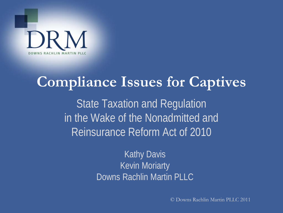

# **Compliance Issues for Captives**  State Taxation and Regulation in the Wake of the Nonadmitted and Reinsurance Reform Act of 2010

Kathy Davis Kevin Moriarty Downs Rachlin Martin PLLC

© Downs Rachlin Martin PLLC 2011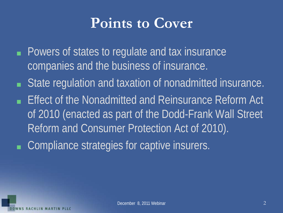### **Points to Cover**

- Powers of states to regulate and tax insurance companies and the business of insurance.
- State regulation and taxation of nonadmitted insurance.
- Effect of the Nonadmitted and Reinsurance Reform Act of 2010 (enacted as part of the Dodd-Frank Wall Street Reform and Consumer Protection Act of 2010).
- Compliance strategies for captive insurers.

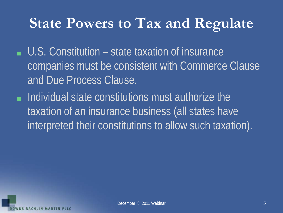- U.S. Constitution state taxation of insurance companies must be consistent with Commerce Clause and Due Process Clause.
- Individual state constitutions must authorize the taxation of an insurance business (all states have interpreted their constitutions to allow such taxation).

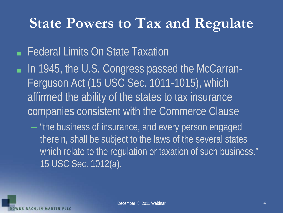#### ■ Federal Limits On State Taxation

■ In 1945, the U.S. Congress passed the McCarran-Ferguson Act (15 USC Sec. 1011-1015), which affirmed the ability of the states to tax insurance companies consistent with the Commerce Clause

– "the business of insurance, and every person engaged therein, shall be subject to the laws of the several states which relate to the regulation or taxation of such business." 15 USC Sec. 1012(a).

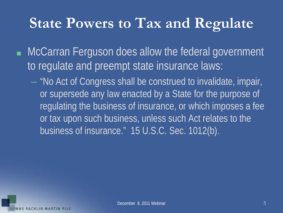- McCarran Ferguson does allow the federal government to regulate and preempt state insurance laws:
	- "No Act of Congress shall be construed to invalidate, impair, or supersede any law enacted by a State for the purpose of regulating the business of insurance, or which imposes a fee or tax upon such business, unless such Act relates to the business of insurance." 15 U.S.C. Sec. 1012(b).

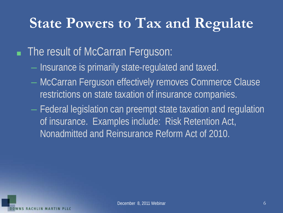#### ■ The result of McCarran Ferguson:

- Insurance is primarily state-regulated and taxed.
- McCarran Ferguson effectively removes Commerce Clause restrictions on state taxation of insurance companies.
- Federal legislation can preempt state taxation and regulation of insurance. Examples include: Risk Retention Act, Nonadmitted and Reinsurance Reform Act of 2010.

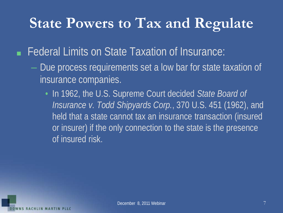■ Federal Limits on State Taxation of Insurance:

- Due process requirements set a low bar for state taxation of insurance companies.
	- In 1962, the U.S. Supreme Court decided *State Board of Insurance v. Todd Shipyards Corp.*, 370 U.S. 451 (1962), and held that a state cannot tax an insurance transaction (insured or insurer) if the only connection to the state is the presence of insured risk.

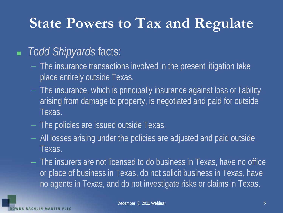#### ■ *Todd Shipyards* facts:

- The insurance transactions involved in the present litigation take place entirely outside Texas.
- The insurance, which is principally insurance against loss or liability arising from damage to property, is negotiated and paid for outside Texas.
- The policies are issued outside Texas.
- All losses arising under the policies are adjusted and paid outside Texas.
- The insurers are not licensed to do business in Texas, have no office or place of business in Texas, do not solicit business in Texas, have no agents in Texas, and do not investigate risks or claims in Texas.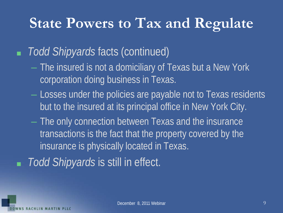#### ■ *Todd Shipyards* facts (continued)

- The insured is not a domiciliary of Texas but a New York corporation doing business in Texas.
- Losses under the policies are payable not to Texas residents but to the insured at its principal office in New York City.
- The only connection between Texas and the insurance transactions is the fact that the property covered by the insurance is physically located in Texas.

*Todd Shipyards* is still in effect.

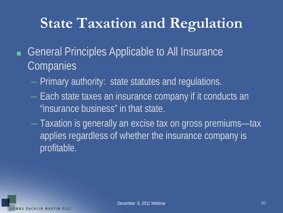# **State Taxation and Regulation**

- General Principles Applicable to All Insurance **Companies** 
	- Primary authority: state statutes and regulations.
	- Each state taxes an insurance company if it conducts an "insurance business" in that state.
	- Taxation is generally an excise tax on gross premiums—tax applies regardless of whether the insurance company is profitable.

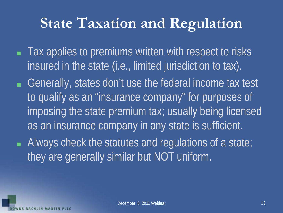# **State Taxation and Regulation**

- Tax applies to premiums written with respect to risks insured in the state (i.e., limited jurisdiction to tax).
- Generally, states don't use the federal income tax test to qualify as an "insurance company" for purposes of imposing the state premium tax; usually being licensed as an insurance company in any state is sufficient.
- Always check the statutes and regulations of a state; they are generally similar but NOT uniform.

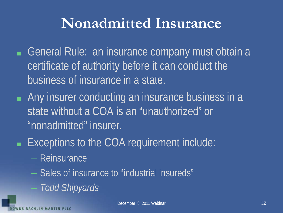### **Nonadmitted Insurance**

- General Rule: an insurance company must obtain a certificate of authority before it can conduct the business of insurance in a state.
- Any insurer conducting an insurance business in a state without a COA is an "unauthorized" or "nonadmitted" insurer.
- Exceptions to the COA requirement include:
	- Reinsurance
	- Sales of insurance to "industrial insureds"
		- *Todd Shipyards*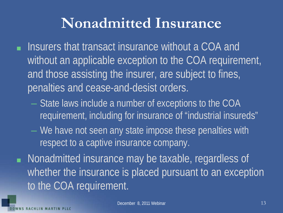#### **Nonadmitted Insurance**

- Insurers that transact insurance without a COA and without an applicable exception to the COA requirement, and those assisting the insurer, are subject to fines, penalties and cease-and-desist orders.
	- State laws include a number of exceptions to the COA requirement, including for insurance of "industrial insureds"
	- We have not seen any state impose these penalties with respect to a captive insurance company.
- Nonadmitted insurance may be taxable, regardless of whether the insurance is placed pursuant to an exception to the COA requirement.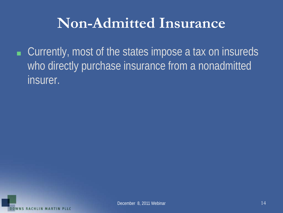### **Non-Admitted Insurance**

■ Currently, most of the states impose a tax on insureds who directly purchase insurance from a nonadmitted insurer.

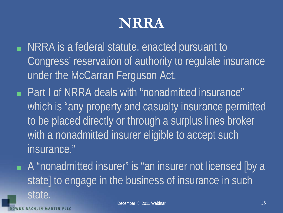- NRRA is a federal statute, enacted pursuant to Congress' reservation of authority to regulate insurance under the McCarran Ferguson Act.
- Part I of NRRA deals with "nonadmitted insurance" which is "any property and casualty insurance permitted to be placed directly or through a surplus lines broker with a nonadmitted insurer eligible to accept such insurance."
- A "nonadmitted insurer" is "an insurer not licensed [by a state] to engage in the business of insurance in such state.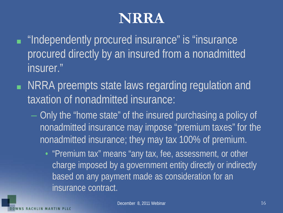- "Independently procured insurance" is "insurance" procured directly by an insured from a nonadmitted insurer."
- NRRA preempts state laws regarding regulation and taxation of nonadmitted insurance:
	- Only the "home state" of the insured purchasing a policy of nonadmitted insurance may impose "premium taxes" for the nonadmitted insurance; they may tax 100% of premium.
		- "Premium tax" means "any tax, fee, assessment, or other charge imposed by a government entity directly or indirectly based on any payment made as consideration for an insurance contract.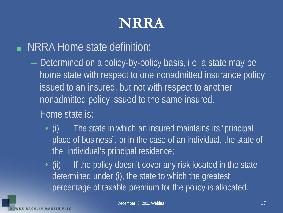NRRA Home state definition:

- Determined on a policy-by-policy basis, i.e. a state may be home state with respect to one nonadmitted insurance policy issued to an insured, but not with respect to another nonadmitted policy issued to the same insured.
- Home state is:
	- (i) The state in which an insured maintains its "principal place of business", or in the case of an individual, the state of the individual's principal residence;
	- (ii) If the policy doesn't cover any risk located in the state determined under (i), the state to which the greatest percentage of taxable premium for the policy is allocated.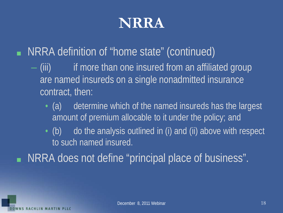#### ■ NRRA definition of "home state" (continued)

- (iii) if more than one insured from an affiliated group are named insureds on a single nonadmitted insurance contract, then:
	- (a) determine which of the named insureds has the largest amount of premium allocable to it under the policy; and
	- (b) do the analysis outlined in (i) and (ii) above with respect to such named insured.

■ NRRA does not define "principal place of business".

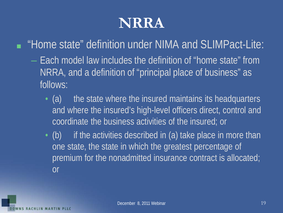■ "Home state" definition under NIMA and SLIMPact-Lite:

- Each model law includes the definition of "home state" from NRRA, and a definition of "principal place of business" as follows:
	- (a) the state where the insured maintains its headquarters and where the insured's high-level officers direct, control and coordinate the business activities of the insured; or
	- (b) if the activities described in (a) take place in more than one state, the state in which the greatest percentage of premium for the nonadmitted insurance contract is allocated; or

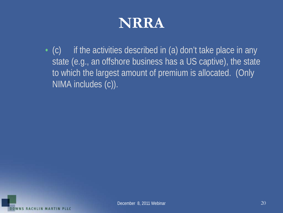$\cdot$  (c) if the activities described in (a) don't take place in any state (e.g., an offshore business has a US captive), the state to which the largest amount of premium is allocated. (Only NIMA includes (c)).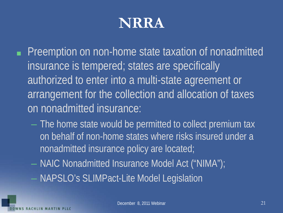- Preemption on non-home state taxation of nonadmitted insurance is tempered; states are specifically authorized to enter into a multi-state agreement or arrangement for the collection and allocation of taxes on nonadmitted insurance:
	- The home state would be permitted to collect premium tax on behalf of non-home states where risks insured under a nonadmitted insurance policy are located;
	- NAIC Nonadmitted Insurance Model Act ("NIMA");
	- NAPSLO's SLIMPact-Lite Model Legislation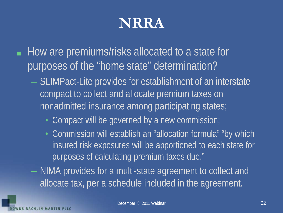- How are premiums/risks allocated to a state for purposes of the "home state" determination?
	- SLIMPact-Lite provides for establishment of an interstate compact to collect and allocate premium taxes on nonadmitted insurance among participating states;
		- Compact will be governed by a new commission;
		- Commission will establish an "allocation formula" "by which insured risk exposures will be apportioned to each state for purposes of calculating premium taxes due."
	- NIMA provides for a multi-state agreement to collect and allocate tax, per a schedule included in the agreement.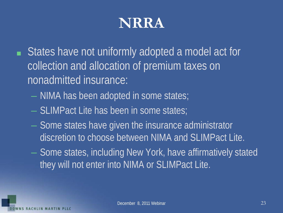- States have not uniformly adopted a model act for collection and allocation of premium taxes on nonadmitted insurance:
	- NIMA has been adopted in some states;
	- SLIMPact Lite has been in some states;
	- Some states have given the insurance administrator discretion to choose between NIMA and SLIMPact Lite.
	- Some states, including New York, have affirmatively stated they will not enter into NIMA or SLIMPact Lite.

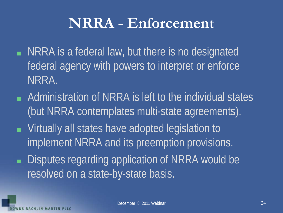### **NRRA - Enforcement**

- NRRA is a federal law, but there is no designated federal agency with powers to interpret or enforce NRRA.
- Administration of NRRA is left to the individual states (but NRRA contemplates multi-state agreements).
- Virtually all states have adopted legislation to implement NRRA and its preemption provisions.
- Disputes regarding application of NRRA would be resolved on a state-by-state basis.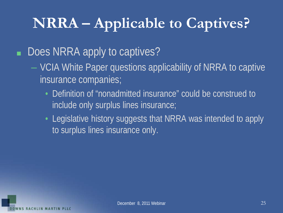#### ■ Does NRRA apply to captives?

- VCIA White Paper questions applicability of NRRA to captive insurance companies;
	- Definition of "nonadmitted insurance" could be construed to include only surplus lines insurance;
	- Legislative history suggests that NRRA was intended to apply to surplus lines insurance only.

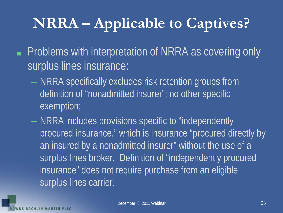- Problems with interpretation of NRRA as covering only surplus lines insurance:
	- NRRA specifically excludes risk retention groups from definition of "nonadmitted insurer"; no other specific exemption;
	- NRRA includes provisions specific to "independently procured insurance," which is insurance "procured directly by an insured by a nonadmitted insurer" without the use of a surplus lines broker. Definition of "independently procured insurance" does not require purchase from an eligible surplus lines carrier.

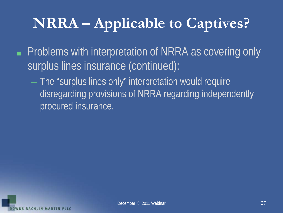- Problems with interpretation of NRRA as covering only surplus lines insurance (continued):
	- The "surplus lines only" interpretation would require disregarding provisions of NRRA regarding independently procured insurance.

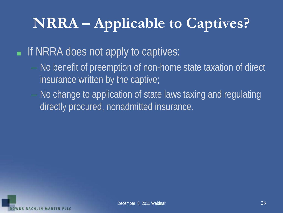■ If NRRA does not apply to captives:

- No benefit of preemption of non-home state taxation of direct insurance written by the captive;
- No change to application of state laws taxing and regulating directly procured, nonadmitted insurance.

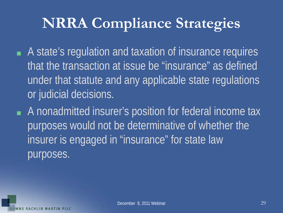# **NRRA Compliance Strategies**

- A state's regulation and taxation of insurance requires that the transaction at issue be "insurance" as defined under that statute and any applicable state regulations or judicial decisions.
- A nonadmitted insurer's position for federal income tax purposes would not be determinative of whether the insurer is engaged in "insurance" for state law purposes.

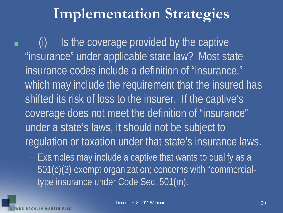(i) Is the coverage provided by the captive "insurance" under applicable state law? Most state insurance codes include a definition of "insurance," which may include the requirement that the insured has shifted its risk of loss to the insurer. If the captive's coverage does not meet the definition of "insurance" under a state's laws, it should not be subject to regulation or taxation under that state's insurance laws.

– Examples may include a captive that wants to qualify as a 501(c)(3) exempt organization; concerns with "commercialtype insurance under Code Sec. 501(m).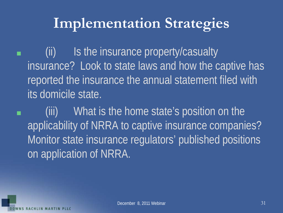(ii) Is the insurance property/casualty insurance? Look to state laws and how the captive has reported the insurance the annual statement filed with its domicile state.

■ (iii) What is the home state's position on the applicability of NRRA to captive insurance companies? Monitor state insurance regulators' published positions on application of NRRA.

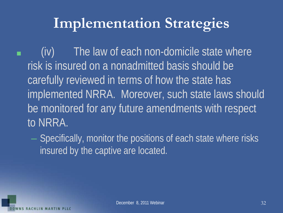■ (iv) The law of each non-domicile state where risk is insured on a nonadmitted basis should be carefully reviewed in terms of how the state has implemented NRRA. Moreover, such state laws should be monitored for any future amendments with respect to NRRA.

– Specifically, monitor the positions of each state where risks insured by the captive are located.

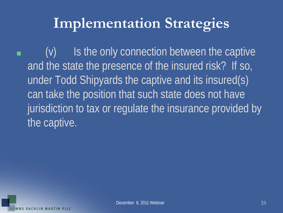$\blacksquare$  (v) Is the only connection between the captive and the state the presence of the insured risk? If so, under Todd Shipyards the captive and its insured(s) can take the position that such state does not have jurisdiction to tax or regulate the insurance provided by the captive.

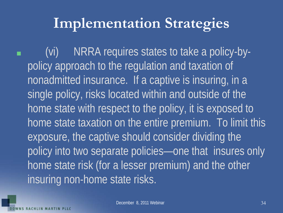■ (vi) NRRA requires states to take a policy-bypolicy approach to the regulation and taxation of nonadmitted insurance. If a captive is insuring, in a single policy, risks located within and outside of the home state with respect to the policy, it is exposed to home state taxation on the entire premium. To limit this exposure, the captive should consider dividing the policy into two separate policies—one that insures only home state risk (for a lesser premium) and the other insuring non-home state risks.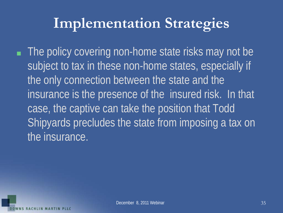■ The policy covering non-home state risks may not be subject to tax in these non-home states, especially if the only connection between the state and the insurance is the presence of the insured risk. In that case, the captive can take the position that Todd Shipyards precludes the state from imposing a tax on the insurance.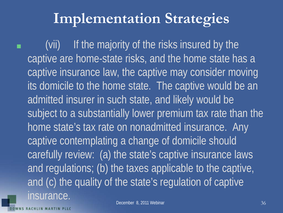(vii) If the majority of the risks insured by the captive are home-state risks, and the home state has a captive insurance law, the captive may consider moving its domicile to the home state. The captive would be an admitted insurer in such state, and likely would be subject to a substantially lower premium tax rate than the home state's tax rate on nonadmitted insurance. Any captive contemplating a change of domicile should carefully review: (a) the state's captive insurance laws and regulations; (b) the taxes applicable to the captive, and (c) the quality of the state's regulation of captive insurance.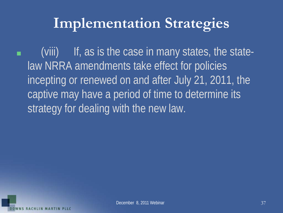(viii) If, as is the case in many states, the statelaw NRRA amendments take effect for policies incepting or renewed on and after July 21, 2011, the captive may have a period of time to determine its strategy for dealing with the new law.